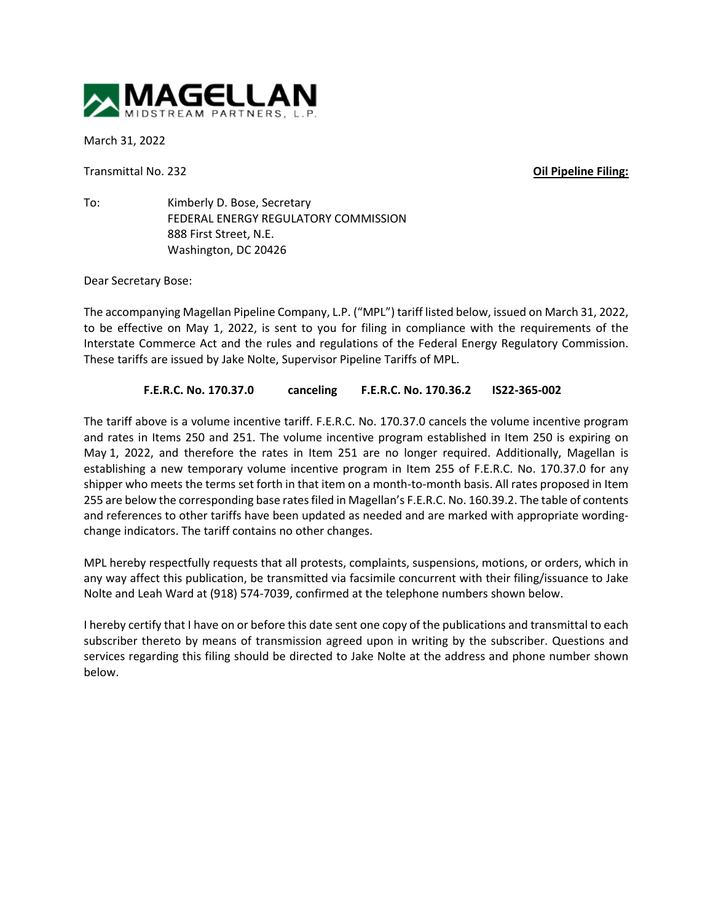

March 31, 2022

Transmittal No. 232 **Oil Pipeline Filing:**

To: Kimberly D. Bose, Secretary FEDERAL ENERGY REGULATORY COMMISSION 888 First Street, N.E. Washington, DC 20426

Dear Secretary Bose:

The accompanying Magellan Pipeline Company, L.P. ("MPL") tariff listed below, issued on March 31, 2022, to be effective on May 1, 2022, is sent to you for filing in compliance with the requirements of the Interstate Commerce Act and the rules and regulations of the Federal Energy Regulatory Commission. These tariffs are issued by Jake Nolte, Supervisor Pipeline Tariffs of MPL.

## **F.E.R.C. No. 170.37.0 canceling F.E.R.C. No. 170.36.2 IS22-365-002**

The tariff above is a volume incentive tariff. F.E.R.C. No. 170.37.0 cancels the volume incentive program and rates in Items 250 and 251. The volume incentive program established in Item 250 is expiring on May 1, 2022, and therefore the rates in Item 251 are no longer required. Additionally, Magellan is establishing a new temporary volume incentive program in Item 255 of F.E.R.C. No. 170.37.0 for any shipper who meets the terms set forth in that item on a month-to-month basis. All rates proposed in Item 255 are below the corresponding base rates filed in Magellan's F.E.R.C. No. 160.39.2. The table of contents and references to other tariffs have been updated as needed and are marked with appropriate wordingchange indicators. The tariff contains no other changes.

MPL hereby respectfully requests that all protests, complaints, suspensions, motions, or orders, which in any way affect this publication, be transmitted via facsimile concurrent with their filing/issuance to Jake Nolte and Leah Ward at (918) 574-7039, confirmed at the telephone numbers shown below.

I hereby certify that I have on or before this date sent one copy of the publications and transmittal to each subscriber thereto by means of transmission agreed upon in writing by the subscriber. Questions and services regarding this filing should be directed to Jake Nolte at the address and phone number shown below.